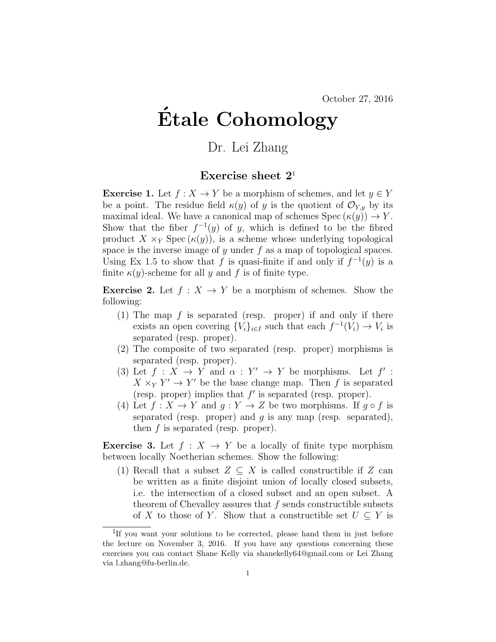## Etale Cohomology ´

## Dr. Lei Zhang

## Exercise sheet  $2<sup>1</sup>$

**Exercise 1.** Let  $f : X \to Y$  be a morphism of schemes, and let  $y \in Y$ be a point. The residue field  $\kappa(y)$  of y is the quotient of  $\mathcal{O}_{Y,y}$  by its maximal ideal. We have a canonical map of schemes  $Spec (\kappa(y)) \to Y$ . Show that the fiber  $f^{-1}(y)$  of y, which is defined to be the fibred product  $X \times_Y \text{Spec}(\kappa(y))$ , is a scheme whose underlying topological space is the inverse image of  $y$  under  $f$  as a map of topological spaces. Using Ex 1.5 to show that f is quasi-finite if and only if  $f^{-1}(y)$  is a finite  $\kappa(y)$ -scheme for all y and f is of finite type.

**Exercise 2.** Let  $f : X \to Y$  be a morphism of schemes. Show the following:

- (1) The map f is separated (resp. proper) if and only if there exists an open covering  ${V_i}_{i \in I}$  such that each  $f^{-1}(V_i) \to V_i$  is separated (resp. proper).
- (2) The composite of two separated (resp. proper) morphisms is separated (resp. proper).
- (3) Let  $f: X \to Y$  and  $\alpha: Y' \to Y$  be morphisms. Let  $f'$ :  $X \times_Y Y' \to Y'$  be the base change map. Then f is separated (resp. proper) implies that  $f'$  is separated (resp. proper).
- (4) Let  $f: X \to Y$  and  $g: Y \to Z$  be two morphisms. If  $g \circ f$  is separated (resp. proper) and  $g$  is any map (resp. separated), then  $f$  is separated (resp. proper).

**Exercise 3.** Let  $f : X \to Y$  be a locally of finite type morphism between locally Noetherian schemes. Show the following:

(1) Recall that a subset  $Z \subseteq X$  is called constructible if Z can be written as a finite disjoint union of locally closed subsets, i.e. the intersection of a closed subset and an open subset. A theorem of Chevalley assures that  $f$  sends constructible subsets of X to those of Y. Show that a constructible set  $U \subseteq Y$  is

<sup>&</sup>lt;sup>1</sup>If you want your solutions to be corrected, please hand them in just before the lecture on November 3, 2016. If you have any questions concerning these exercises you can contact Shane Kelly via shanekelly64@gmail.com or Lei Zhang via l.zhang@fu-berlin.de.